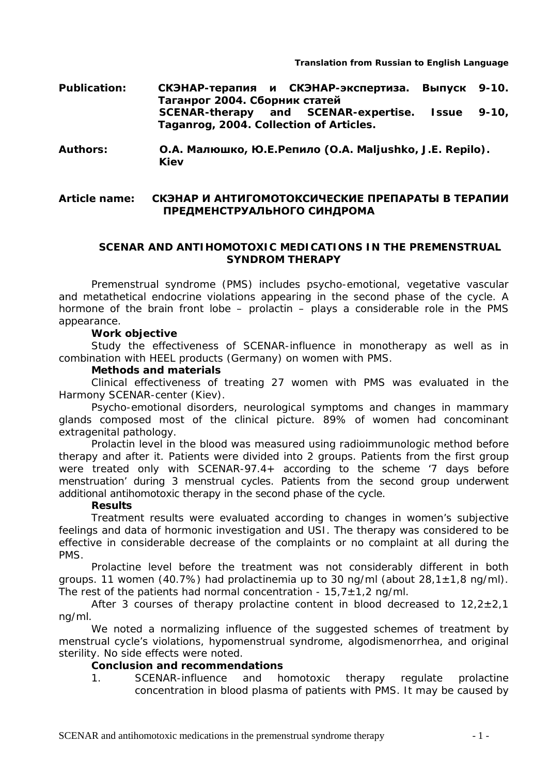- **Publication: СКЭНАР-терапия и СКЭНАР-экспертиза. Выпуск 9-10. Таганрог 2004. Сборник статей SCENAR-therapy and SCENAR-expertise. Issue 9-10, Taganrog, 2004. Collection of Articles.**
- **Authors: О.А. Малюшко, Ю.Е.Репило (O.A. Maljushko, J.E. Repilo). Kiev**

# **Article name: СКЭНАР И АНТИГОМОТОКСИЧЕСКИЕ ПРЕПАРАТЫ В ТЕРАПИИ ПРЕДМЕНСТРУАЛЬНОГО СИНДРОМА**

### **SCENAR AND ANTIHOMOTOXIC MEDICATIONS IN THE PREMENSTRUAL SYNDROM THERAPY**

Premenstrual syndrome (PMS) includes psycho-emotional, vegetative vascular and metathetical endocrine violations appearing in the second phase of the cycle. A hormone of the brain front lobe – prolactin – plays a considerable role in the PMS appearance.

### **Work objective**

Study the effectiveness of SCENAR-influence in monotherapy as well as in combination with *HEEL* products (Germany) on women with PMS.

## **Methods and materials**

Clinical effectiveness of treating 27 women with PMS was evaluated in the *Harmony* SCENAR-center (Kiev).

Psycho-emotional disorders, neurological symptoms and changes in mammary glands composed most of the clinical picture. 89% of women had concominant extragenital pathology.

Prolactin level in the blood was measured using radioimmunologic method before therapy and after it. Patients were divided into 2 groups. Patients from the first group were treated only with SCENAR-97.4+ according to the scheme '7 days before menstruation' during 3 menstrual cycles. Patients from the second group underwent additional antihomotoxic therapy in the second phase of the cycle.

### **Results**

Treatment results were evaluated according to changes in women's subjective feelings and data of hormonic investigation and USI. The therapy was considered to be effective in considerable decrease of the complaints or no complaint at all during the PMS.

Prolactine level before the treatment was not considerably different in both groups. 11 women (40.7%) had prolactinemia up to 30 ng/ml (about  $28.1 \pm 1.8$  ng/ml). The rest of the patients had normal concentration -  $15.7 \pm 1.2$  ng/ml.

After 3 courses of therapy prolactine content in blood decreased to  $12,2\pm2,1$ ng/ml.

We noted a normalizing influence of the suggested schemes of treatment by menstrual cycle's violations, hypomenstrual syndrome, algodismenorrhea, and original sterility. No side effects were noted.

## **Conclusion and recommendations**

1. SCENAR-influence and homotoxic therapy regulate prolactine concentration in blood plasma of patients with PMS. It may be caused by